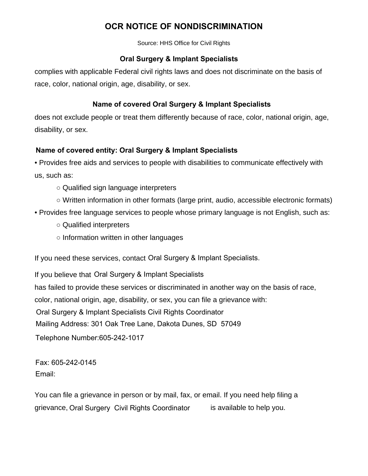## **OCR NOTICE OF NONDISCRIMINATION**

Source: HHS Office for Civil Rights

## **Oral Surgery & Implant Specialists**

complies with applicable Federal civil rights laws and does not discriminate on the basis of race, color, national origin, age, disability, or sex.

## **Name of covered Oral Surgery & Implant Specialists**

does not exclude people or treat them differently because of race, color, national origin, age, disability, or sex.

## **[***Name of covered entity***]: Name of covered entity: Oral Surgery & Implant Specialists**

• Provides free aids and services to people with disabilities to communicate effectively with us, such as:

- $\circ$  Qualified sign language interpreters
- $\circ$  Written information in other formats (large print, audio, accessible electronic formats)
- Provides free language services to people whose primary language is not English, such as:
	- $\circ$  Qualified interpreters
	- $\circ$  Information written in other languages

If you need these services, contact Oral Surgery & Implant Specialists.

If you believe that Oral Surgery & Implant Specialists

has failed to provide these services or discriminated in another way on the basis of race,

color, national origin, age, disability, or sex, you can file a grievance with:

[*Name and Title of Civil Rights Coordinator*] Oral Surgery & Implant Specialists Civil Rights Coordinator

[*Mailing Address*] Mailing Address: 301 Oak Tree Lane, Dakota Dunes, SD 57049

[*Telephone number*] Telephone Number:605-242-1017

[*Fax*] Fax: 605-242-0145 [*Email*] Email:

You can file a grievance in person or by mail, fax, or email. If you need help filing a grievance, Oral Surgery Civil Rights Coordinator is available to help you.